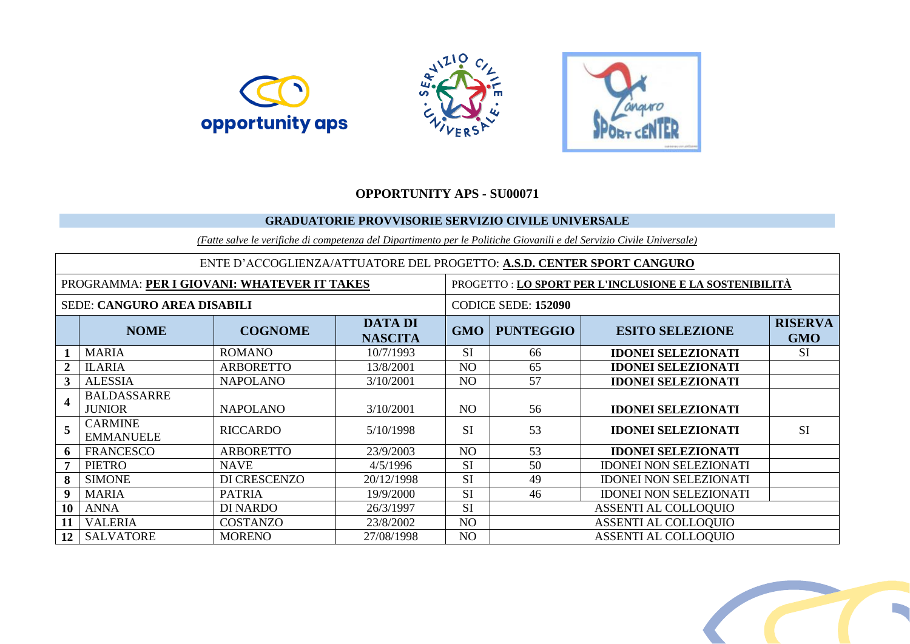





## **OPPORTUNITY APS - SU00071**

## **GRADUATORIE PROVVISORIE SERVIZIO CIVILE UNIVERSALE**

*(Fatte salve le verifiche di competenza del Dipartimento per le Politiche Giovanili e del Servizio Civile Universale)*

| ENTE D'ACCOGLIENZA/ATTUATORE DEL PROGETTO: A.S.D. CENTER SPORT CANGURO |                                     |                  |                                  |                     |                                                        |                               |                              |  |  |  |  |  |
|------------------------------------------------------------------------|-------------------------------------|------------------|----------------------------------|---------------------|--------------------------------------------------------|-------------------------------|------------------------------|--|--|--|--|--|
| PROGRAMMA: PER I GIOVANI: WHATEVER IT TAKES                            |                                     |                  |                                  |                     | PROGETTO: LO SPORT PER L'INCLUSIONE E LA SOSTENIBILITÀ |                               |                              |  |  |  |  |  |
| SEDE: CANGURO AREA DISABILI                                            |                                     |                  |                                  | CODICE SEDE: 152090 |                                                        |                               |                              |  |  |  |  |  |
|                                                                        | <b>NOME</b>                         | <b>COGNOME</b>   | <b>DATA DI</b><br><b>NASCITA</b> | <b>GMO</b>          | <b>PUNTEGGIO</b>                                       | <b>ESITO SELEZIONE</b>        | <b>RISERVA</b><br><b>GMO</b> |  |  |  |  |  |
|                                                                        | <b>MARIA</b>                        | <b>ROMANO</b>    | 10/7/1993                        | <b>SI</b>           | 66                                                     | <b>IDONEI SELEZIONATI</b>     | <b>SI</b>                    |  |  |  |  |  |
|                                                                        | <b>ILARIA</b>                       | <b>ARBORETTO</b> | 13/8/2001                        | NO                  | 65                                                     | <b>IDONEI SELEZIONATI</b>     |                              |  |  |  |  |  |
| $\mathbf{3}$                                                           | <b>ALESSIA</b>                      | <b>NAPOLANO</b>  | 3/10/2001                        | N <sub>O</sub>      | 57                                                     | <b>IDONEI SELEZIONATI</b>     |                              |  |  |  |  |  |
| $\overline{\mathbf{4}}$                                                | <b>BALDASSARRE</b><br><b>JUNIOR</b> | <b>NAPOLANO</b>  | 3/10/2001                        | NO.                 | 56                                                     | <b>IDONEI SELEZIONATI</b>     |                              |  |  |  |  |  |
| $\overline{5}$                                                         | <b>CARMINE</b><br><b>EMMANUELE</b>  | <b>RICCARDO</b>  | 5/10/1998                        | <b>SI</b>           | 53                                                     | <b>IDONEI SELEZIONATI</b>     | <b>SI</b>                    |  |  |  |  |  |
| 6                                                                      | <b>FRANCESCO</b>                    | <b>ARBORETTO</b> | 23/9/2003                        | N <sub>O</sub>      | 53                                                     | <b>IDONEI SELEZIONATI</b>     |                              |  |  |  |  |  |
|                                                                        | <b>PIETRO</b>                       | <b>NAVE</b>      | 4/5/1996                         | SI                  | 50                                                     | <b>IDONEI NON SELEZIONATI</b> |                              |  |  |  |  |  |
| 8                                                                      | <b>SIMONE</b>                       | DI CRESCENZO     | 20/12/1998                       | SI                  | 49                                                     | <b>IDONEI NON SELEZIONATI</b> |                              |  |  |  |  |  |
| $\mathbf{Q}$                                                           | <b>MARIA</b>                        | <b>PATRIA</b>    | 19/9/2000                        | <b>SI</b>           | 46                                                     | <b>IDONEI NON SELEZIONATI</b> |                              |  |  |  |  |  |
| 10                                                                     | <b>ANNA</b>                         | <b>DI NARDO</b>  | 26/3/1997                        | SI                  |                                                        | <b>ASSENTI AL COLLOQUIO</b>   |                              |  |  |  |  |  |
| 11                                                                     | <b>VALERIA</b>                      | <b>COSTANZO</b>  | 23/8/2002                        | NO                  |                                                        | <b>ASSENTI AL COLLOQUIO</b>   |                              |  |  |  |  |  |
| 12 <sup>1</sup>                                                        | <b>SALVATORE</b>                    | <b>MORENO</b>    | 27/08/1998                       | N <sub>O</sub>      |                                                        | <b>ASSENTI AL COLLOQUIO</b>   |                              |  |  |  |  |  |